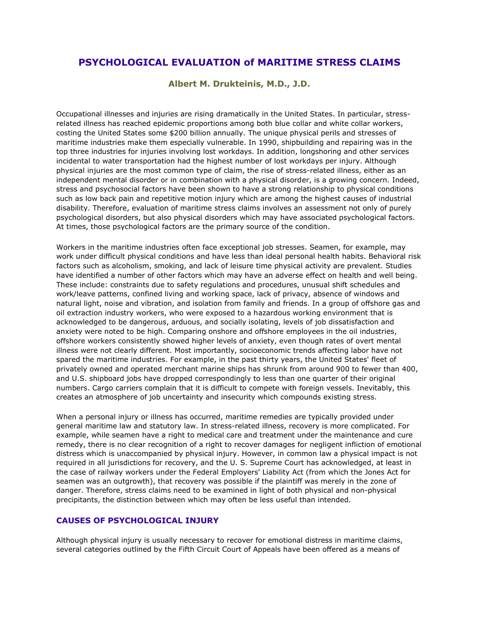# **PSYCHOLOGICAL EVALUATION of MARITIME STRESS CLAIMS**

# **Albert M. Drukteinis, M.D., J.D.**

Occupational illnesses and injuries are rising dramatically in the United States. In particular, stressrelated illness has reached epidemic proportions among both blue collar and white collar workers, costing the United States some \$200 billion annually. The unique physical perils and stresses of maritime industries make them especially vulnerable. In 1990, shipbuilding and repairing was in the top three industries for injuries involving lost workdays. In addition, longshoring and other services incidental to water transportation had the highest number of lost workdays per injury. Although physical injuries are the most common type of claim, the rise of stress-related illness, either as an independent mental disorder or in combination with a physical disorder, is a growing concern. Indeed, stress and psychosocial factors have been shown to have a strong relationship to physical conditions such as low back pain and repetitive motion injury which are among the highest causes of industrial disability. Therefore, evaluation of maritime stress claims involves an assessment not only of purely psychological disorders, but also physical disorders which may have associated psychological factors. At times, those psychological factors are the primary source of the condition.

Workers in the maritime industries often face exceptional job stresses. Seamen, for example, may work under difficult physical conditions and have less than ideal personal health habits. Behavioral risk factors such as alcoholism, smoking, and lack of leisure time physical activity are prevalent. Studies have identified a number of other factors which may have an adverse effect on health and well being. These include: constraints due to safety regulations and procedures, unusual shift schedules and work/leave patterns, confined living and working space, lack of privacy, absence of windows and natural light, noise and vibration, and isolation from family and friends. In a group of offshore gas and oil extraction industry workers, who were exposed to a hazardous working environment that is acknowledged to be dangerous, arduous, and socially isolating, levels of job dissatisfaction and anxiety were noted to be high. Comparing onshore and offshore employees in the oil industries, offshore workers consistently showed higher levels of anxiety, even though rates of overt mental illness were not clearly different. Most importantly, socioeconomic trends affecting labor have not spared the maritime industries. For example, in the past thirty years, the United States' fleet of privately owned and operated merchant marine ships has shrunk from around 900 to fewer than 400, and U.S. shipboard jobs have dropped correspondingly to less than one quarter of their original numbers. Cargo carriers complain that it is difficult to compete with foreign vessels. Inevitably, this creates an atmosphere of job uncertainty and insecurity which compounds existing stress.

When a personal injury or illness has occurred, maritime remedies are typically provided under general maritime law and statutory law. In stress-related illness, recovery is more complicated. For example, while seamen have a right to medical care and treatment under the maintenance and cure remedy, there is no clear recognition of a right to recover damages for negligent infliction of emotional distress which is unaccompanied by physical injury. However, in common law a physical impact is not required in all jurisdictions for recovery, and the U. S. Supreme Court has acknowledged, at least in the case of railway workers under the Federal Employers' Liability Act (from which the Jones Act for seamen was an outgrowth), that recovery was possible if the plaintiff was merely in the zone of danger. Therefore, stress claims need to be examined in light of both physical and non-physical precipitants, the distinction between which may often be less useful than intended.

#### **CAUSES OF PSYCHOLOGICAL INJURY**

Although physical injury is usually necessary to recover for emotional distress in maritime claims, several categories outlined by the Fifth Circuit Court of Appeals have been offered as a means of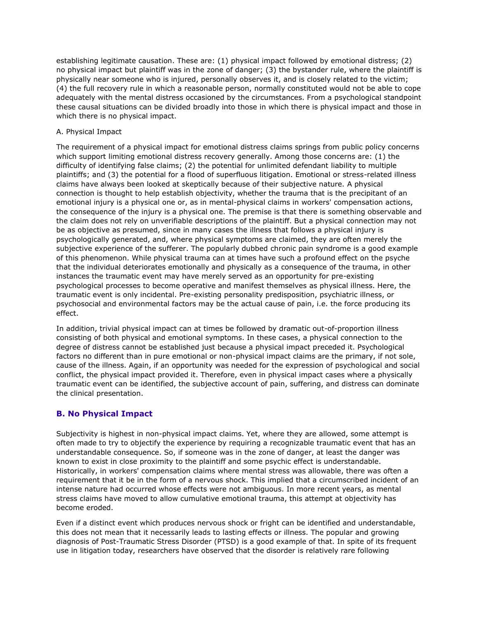establishing legitimate causation. These are: (1) physical impact followed by emotional distress; (2) no physical impact but plaintiff was in the zone of danger; (3) the bystander rule, where the plaintiff is physically near someone who is injured, personally observes it, and is closely related to the victim; (4) the full recovery rule in which a reasonable person, normally constituted would not be able to cope adequately with the mental distress occasioned by the circumstances. From a psychological standpoint these causal situations can be divided broadly into those in which there is physical impact and those in which there is no physical impact.

#### A. Physical Impact

The requirement of a physical impact for emotional distress claims springs from public policy concerns which support limiting emotional distress recovery generally. Among those concerns are: (1) the difficulty of identifying false claims; (2) the potential for unlimited defendant liability to multiple plaintiffs; and (3) the potential for a flood of superfluous litigation. Emotional or stress-related illness claims have always been looked at skeptically because of their subjective nature. A physical connection is thought to help establish objectivity, whether the trauma that is the precipitant of an emotional injury is a physical one or, as in mental-physical claims in workers' compensation actions, the consequence of the injury is a physical one. The premise is that there is something observable and the claim does not rely on unverifiable descriptions of the plaintiff. But a physical connection may not be as objective as presumed, since in many cases the illness that follows a physical injury is psychologically generated, and, where physical symptoms are claimed, they are often merely the subjective experience of the sufferer. The popularly dubbed chronic pain syndrome is a good example of this phenomenon. While physical trauma can at times have such a profound effect on the psyche that the individual deteriorates emotionally and physically as a consequence of the trauma, in other instances the traumatic event may have merely served as an opportunity for pre-existing psychological processes to become operative and manifest themselves as physical illness. Here, the traumatic event is only incidental. Pre-existing personality predisposition, psychiatric illness, or psychosocial and environmental factors may be the actual cause of pain, i.e. the force producing its effect.

In addition, trivial physical impact can at times be followed by dramatic out-of-proportion illness consisting of both physical and emotional symptoms. In these cases, a physical connection to the degree of distress cannot be established just because a physical impact preceded it. Psychological factors no different than in pure emotional or non-physical impact claims are the primary, if not sole, cause of the illness. Again, if an opportunity was needed for the expression of psychological and social conflict, the physical impact provided it. Therefore, even in physical impact cases where a physically traumatic event can be identified, the subjective account of pain, suffering, and distress can dominate the clinical presentation.

# **B. No Physical Impact**

Subjectivity is highest in non-physical impact claims. Yet, where they are allowed, some attempt is often made to try to objectify the experience by requiring a recognizable traumatic event that has an understandable consequence. So, if someone was in the zone of danger, at least the danger was known to exist in close proximity to the plaintiff and some psychic effect is understandable. Historically, in workers' compensation claims where mental stress was allowable, there was often a requirement that it be in the form of a nervous shock. This implied that a circumscribed incident of an intense nature had occurred whose effects were not ambiguous. In more recent years, as mental stress claims have moved to allow cumulative emotional trauma, this attempt at objectivity has become eroded.

Even if a distinct event which produces nervous shock or fright can be identified and understandable, this does not mean that it necessarily leads to lasting effects or illness. The popular and growing diagnosis of Post-Traumatic Stress Disorder (PTSD) is a good example of that. In spite of its frequent use in litigation today, researchers have observed that the disorder is relatively rare following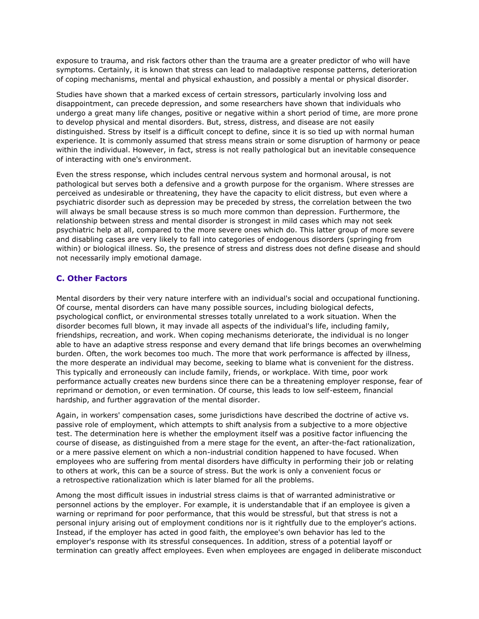exposure to trauma, and risk factors other than the trauma are a greater predictor of who will have symptoms. Certainly, it is known that stress can lead to maladaptive response patterns, deterioration of coping mechanisms, mental and physical exhaustion, and possibly a mental or physical disorder.

Studies have shown that a marked excess of certain stressors, particularly involving loss and disappointment, can precede depression, and some researchers have shown that individuals who undergo a great many life changes, positive or negative within a short period of time, are more prone to develop physical and mental disorders. But, stress, distress, and disease are not easily distinguished. Stress by itself is a difficult concept to define, since it is so tied up with normal human experience. It is commonly assumed that stress means strain or some disruption of harmony or peace within the individual. However, in fact, stress is not really pathological but an inevitable consequence of interacting with one's environment.

Even the stress response, which includes central nervous system and hormonal arousal, is not pathological but serves both a defensive and a growth purpose for the organism. Where stresses are perceived as undesirable or threatening, they have the capacity to elicit distress, but even where a psychiatric disorder such as depression may be preceded by stress, the correlation between the two will always be small because stress is so much more common than depression. Furthermore, the relationship between stress and mental disorder is strongest in mild cases which may not seek psychiatric help at all, compared to the more severe ones which do. This latter group of more severe and disabling cases are very likely to fall into categories of endogenous disorders (springing from within) or biological illness. So, the presence of stress and distress does not define disease and should not necessarily imply emotional damage.

# **C. Other Factors**

Mental disorders by their very nature interfere with an individual's social and occupational functioning. Of course, mental disorders can have many possible sources, including biological defects, psychological conflict, or environmental stresses totally unrelated to a work situation. When the disorder becomes full blown, it may invade all aspects of the individual's life, including family, friendships, recreation, and work. When coping mechanisms deteriorate, the individual is no longer able to have an adaptive stress response and every demand that life brings becomes an overwhelming burden. Often, the work becomes too much. The more that work performance is affected by illness, the more desperate an individual may become, seeking to blame what is convenient for the distress. This typically and erroneously can include family, friends, or workplace. With time, poor work performance actually creates new burdens since there can be a threatening employer response, fear of reprimand or demotion, or even termination. Of course, this leads to low self-esteem, financial hardship, and further aggravation of the mental disorder.

Again, in workers' compensation cases, some jurisdictions have described the doctrine of active vs. passive role of employment, which attempts to shift analysis from a subjective to a more objective test. The determination here is whether the employment itself was a positive factor influencing the course of disease, as distinguished from a mere stage for the event, an after-the-fact rationalization, or a mere passive element on which a non-industrial condition happened to have focused. When employees who are suffering from mental disorders have difficulty in performing their job or relating to others at work, this can be a source of stress. But the work is only a convenient focus or a retrospective rationalization which is later blamed for all the problems.

Among the most difficult issues in industrial stress claims is that of warranted administrative or personnel actions by the employer. For example, it is understandable that if an employee is given a warning or reprimand for poor performance, that this would be stressful, but that stress is not a personal injury arising out of employment conditions nor is it rightfully due to the employer's actions. Instead, if the employer has acted in good faith, the employee's own behavior has led to the employer's response with its stressful consequences. In addition, stress of a potential layoff or termination can greatly affect employees. Even when employees are engaged in deliberate misconduct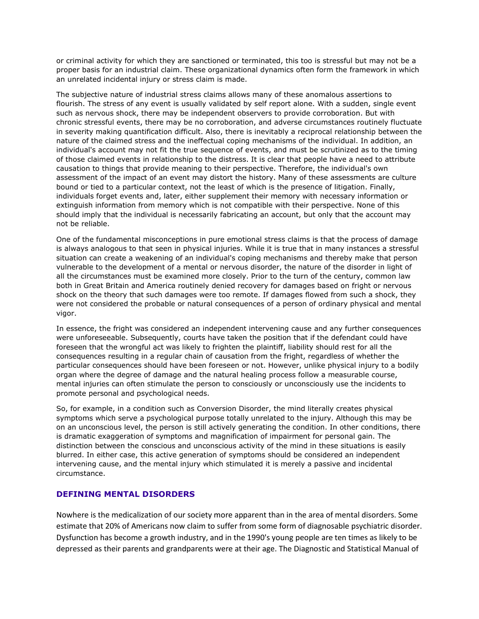or criminal activity for which they are sanctioned or terminated, this too is stressful but may not be a proper basis for an industrial claim. These organizational dynamics often form the framework in which an unrelated incidental injury or stress claim is made.

The subjective nature of industrial stress claims allows many of these anomalous assertions to flourish. The stress of any event is usually validated by self report alone. With a sudden, single event such as nervous shock, there may be independent observers to provide corroboration. But with chronic stressful events, there may be no corroboration, and adverse circumstances routinely fluctuate in severity making quantification difficult. Also, there is inevitably a reciprocal relationship between the nature of the claimed stress and the ineffectual coping mechanisms of the individual. In addition, an individual's account may not fit the true sequence of events, and must be scrutinized as to the timing of those claimed events in relationship to the distress. It is clear that people have a need to attribute causation to things that provide meaning to their perspective. Therefore, the individual's own assessment of the impact of an event may distort the history. Many of these assessments are culture bound or tied to a particular context, not the least of which is the presence of litigation. Finally, individuals forget events and, later, either supplement their memory with necessary information or extinguish information from memory which is not compatible with their perspective. None of this should imply that the individual is necessarily fabricating an account, but only that the account may not be reliable.

One of the fundamental misconceptions in pure emotional stress claims is that the process of damage is always analogous to that seen in physical injuries. While it is true that in many instances a stressful situation can create a weakening of an individual's coping mechanisms and thereby make that person vulnerable to the development of a mental or nervous disorder, the nature of the disorder in light of all the circumstances must be examined more closely. Prior to the turn of the century, common law both in Great Britain and America routinely denied recovery for damages based on fright or nervous shock on the theory that such damages were too remote. If damages flowed from such a shock, they were not considered the probable or natural consequences of a person of ordinary physical and mental vigor.

In essence, the fright was considered an independent intervening cause and any further consequences were unforeseeable. Subsequently, courts have taken the position that if the defendant could have foreseen that the wrongful act was likely to frighten the plaintiff, liability should rest for all the consequences resulting in a regular chain of causation from the fright, regardless of whether the particular consequences should have been foreseen or not. However, unlike physical injury to a bodily organ where the degree of damage and the natural healing process follow a measurable course, mental injuries can often stimulate the person to consciously or unconsciously use the incidents to promote personal and psychological needs.

So, for example, in a condition such as Conversion Disorder, the mind literally creates physical symptoms which serve a psychological purpose totally unrelated to the injury. Although this may be on an unconscious level, the person is still actively generating the condition. In other conditions, there is dramatic exaggeration of symptoms and magnification of impairment for personal gain. The distinction between the conscious and unconscious activity of the mind in these situations is easily blurred. In either case, this active generation of symptoms should be considered an independent intervening cause, and the mental injury which stimulated it is merely a passive and incidental circumstance.

# **DEFINING MENTAL DISORDERS**

Nowhere is the medicalization of our society more apparent than in the area of mental disorders. Some estimate that 20% of Americans now claim to suffer from some form of diagnosable psychiatric disorder. Dysfunction has become a growth industry, and in the 1990's young people are ten times as likely to be depressed as their parents and grandparents were at their age. The Diagnostic and Statistical Manual of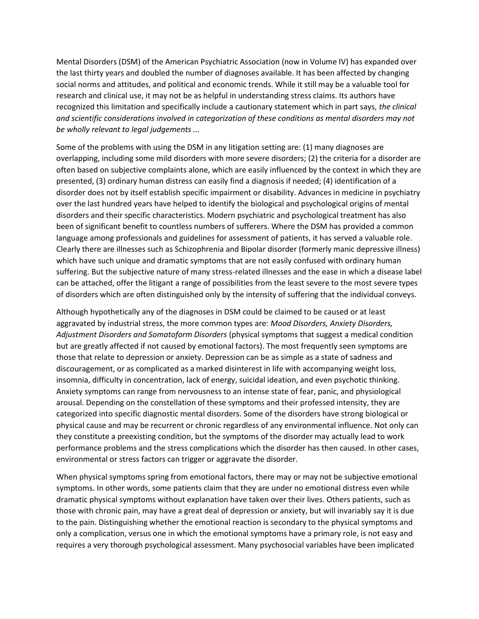Mental Disorders (DSM) of the American Psychiatric Association (now in Volume IV) has expanded over the last thirty years and doubled the number of diagnoses available. It has been affected by changing social norms and attitudes, and political and economic trends. While it still may be a valuable tool for research and clinical use, it may not be as helpful in understanding stress claims. Its authors have recognized this limitation and specifically include a cautionary statement which in part says, *the clinical and scientific considerations involved in categorization of these conditions as mental disorders may not be wholly relevant to legal judgements ...*

Some of the problems with using the DSM in any litigation setting are: (1) many diagnoses are overlapping, including some mild disorders with more severe disorders; (2) the criteria for a disorder are often based on subjective complaints alone, which are easily influenced by the context in which they are presented, (3) ordinary human distress can easily find a diagnosis if needed; (4) identification of a disorder does not by itself establish specific impairment or disability. Advances in medicine in psychiatry over the last hundred years have helped to identify the biological and psychological origins of mental disorders and their specific characteristics. Modern psychiatric and psychological treatment has also been of significant benefit to countless numbers of sufferers. Where the DSM has provided a common language among professionals and guidelines for assessment of patients, it has served a valuable role. Clearly there are illnesses such as Schizophrenia and Bipolar disorder (formerly manic depressive illness) which have such unique and dramatic symptoms that are not easily confused with ordinary human suffering. But the subjective nature of many stress-related illnesses and the ease in which a disease label can be attached, offer the litigant a range of possibilities from the least severe to the most severe types of disorders which are often distinguished only by the intensity of suffering that the individual conveys.

Although hypothetically any of the diagnoses in DSM could be claimed to be caused or at least aggravated by industrial stress, the more common types are: *Mood Disorders, Anxiety Disorders, Adjustment Disorders and Somatoform Disorders* (physical symptoms that suggest a medical condition but are greatly affected if not caused by emotional factors). The most frequently seen symptoms are those that relate to depression or anxiety. Depression can be as simple as a state of sadness and discouragement, or as complicated as a marked disinterest in life with accompanying weight loss, insomnia, difficulty in concentration, lack of energy, suicidal ideation, and even psychotic thinking. Anxiety symptoms can range from nervousness to an intense state of fear, panic, and physiological arousal. Depending on the constellation of these symptoms and their professed intensity, they are categorized into specific diagnostic mental disorders. Some of the disorders have strong biological or physical cause and may be recurrent or chronic regardless of any environmental influence. Not only can they constitute a preexisting condition, but the symptoms of the disorder may actually lead to work performance problems and the stress complications which the disorder has then caused. In other cases, environmental or stress factors can trigger or aggravate the disorder.

When physical symptoms spring from emotional factors, there may or may not be subjective emotional symptoms. In other words, some patients claim that they are under no emotional distress even while dramatic physical symptoms without explanation have taken over their lives. Others patients, such as those with chronic pain, may have a great deal of depression or anxiety, but will invariably say it is due to the pain. Distinguishing whether the emotional reaction is secondary to the physical symptoms and only a complication, versus one in which the emotional symptoms have a primary role, is not easy and requires a very thorough psychological assessment. Many psychosocial variables have been implicated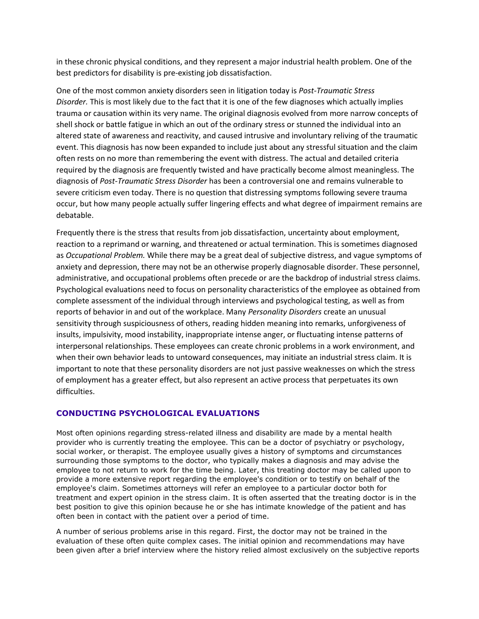in these chronic physical conditions, and they represent a major industrial health problem. One of the best predictors for disability is pre-existing job dissatisfaction.

One of the most common anxiety disorders seen in litigation today is *Post-Traumatic Stress Disorder.* This is most likely due to the fact that it is one of the few diagnoses which actually implies trauma or causation within its very name. The original diagnosis evolved from more narrow concepts of shell shock or battle fatigue in which an out of the ordinary stress or stunned the individual into an altered state of awareness and reactivity, and caused intrusive and involuntary reliving of the traumatic event. This diagnosis has now been expanded to include just about any stressful situation and the claim often rests on no more than remembering the event with distress. The actual and detailed criteria required by the diagnosis are frequently twisted and have practically become almost meaningless. The diagnosis of *Post-Traumatic Stress Disorder* has been a controversial one and remains vulnerable to severe criticism even today. There is no question that distressing symptoms following severe trauma occur, but how many people actually suffer lingering effects and what degree of impairment remains are debatable.

Frequently there is the stress that results from job dissatisfaction, uncertainty about employment, reaction to a reprimand or warning, and threatened or actual termination. This is sometimes diagnosed as *Occupational Problem.* While there may be a great deal of subjective distress, and vague symptoms of anxiety and depression, there may not be an otherwise properly diagnosable disorder. These personnel, administrative, and occupational problems often precede or are the backdrop of industrial stress claims. Psychological evaluations need to focus on personality characteristics of the employee as obtained from complete assessment of the individual through interviews and psychological testing, as well as from reports of behavior in and out of the workplace. Many *Personality Disorders* create an unusual sensitivity through suspiciousness of others, reading hidden meaning into remarks, unforgiveness of insults, impulsivity, mood instability, inappropriate intense anger, or fluctuating intense patterns of interpersonal relationships. These employees can create chronic problems in a work environment, and when their own behavior leads to untoward consequences, may initiate an industrial stress claim. It is important to note that these personality disorders are not just passive weaknesses on which the stress of employment has a greater effect, but also represent an active process that perpetuates its own difficulties.

# **CONDUCTING PSYCHOLOGICAL EVALUATIONS**

Most often opinions regarding stress-related illness and disability are made by a mental health provider who is currently treating the employee. This can be a doctor of psychiatry or psychology, social worker, or therapist. The employee usually gives a history of symptoms and circumstances surrounding those symptoms to the doctor, who typically makes a diagnosis and may advise the employee to not return to work for the time being. Later, this treating doctor may be called upon to provide a more extensive report regarding the employee's condition or to testify on behalf of the employee's claim. Sometimes attorneys will refer an employee to a particular doctor both for treatment and expert opinion in the stress claim. It is often asserted that the treating doctor is in the best position to give this opinion because he or she has intimate knowledge of the patient and has often been in contact with the patient over a period of time.

A number of serious problems arise in this regard. First, the doctor may not be trained in the evaluation of these often quite complex cases. The initial opinion and recommendations may have been given after a brief interview where the history relied almost exclusively on the subjective reports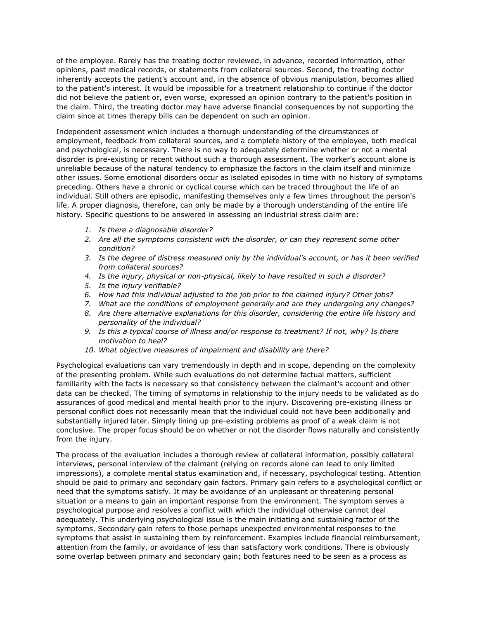of the employee. Rarely has the treating doctor reviewed, in advance, recorded information, other opinions, past medical records, or statements from collateral sources. Second, the treating doctor inherently accepts the patient's account and, in the absence of obvious manipulation, becomes allied to the patient's interest. It would be impossible for a treatment relationship to continue if the doctor did not believe the patient or, even worse, expressed an opinion contrary to the patient's position in the claim. Third, the treating doctor may have adverse financial consequences by not supporting the claim since at times therapy bills can be dependent on such an opinion.

Independent assessment which includes a thorough understanding of the circumstances of employment, feedback from collateral sources, and a complete history of the employee, both medical and psychological, is necessary. There is no way to adequately determine whether or not a mental disorder is pre-existing or recent without such a thorough assessment. The worker's account alone is unreliable because of the natural tendency to emphasize the factors in the claim itself and minimize other issues. Some emotional disorders occur as isolated episodes in time with no history of symptoms preceding. Others have a chronic or cyclical course which can be traced throughout the life of an individual. Still others are episodic, manifesting themselves only a few times throughout the person's life. A proper diagnosis, therefore, can only be made by a thorough understanding of the entire life history. Specific questions to be answered in assessing an industrial stress claim are:

- *1. Is there a diagnosable disorder?*
- *2. Are all the symptoms consistent with the disorder, or can they represent some other condition?*
- *3. Is the degree of distress measured only by the individual's account, or has it been verified from collateral sources?*
- *4. Is the injury, physical or non-physical, likely to have resulted in such a disorder?*
- *5. Is the injury verifiable?*
- *6. How had this individual adjusted to the job prior to the claimed injury? Other jobs?*
- *7. What are the conditions of employment generally and are they undergoing any changes?*
- *8. Are there alternative explanations for this disorder, considering the entire life history and personality of the individual?*
- *9. Is this a typical course of illness and/or response to treatment? If not, why? Is there motivation to heal?*
- *10. What objective measures of impairment and disability are there?*

Psychological evaluations can vary tremendously in depth and in scope, depending on the complexity of the presenting problem. While such evaluations do not determine factual matters, sufficient familiarity with the facts is necessary so that consistency between the claimant's account and other data can be checked. The timing of symptoms in relationship to the injury needs to be validated as do assurances of good medical and mental health prior to the injury. Discovering pre-existing illness or personal conflict does not necessarily mean that the individual could not have been additionally and substantially injured later. Simply lining up pre-existing problems as proof of a weak claim is not conclusive. The proper focus should be on whether or not the disorder flows naturally and consistently from the injury.

The process of the evaluation includes a thorough review of collateral information, possibly collateral interviews, personal interview of the claimant (relying on records alone can lead to only limited impressions), a complete mental status examination and, if necessary, psychological testing. Attention should be paid to primary and secondary gain factors. Primary gain refers to a psychological conflict or need that the symptoms satisfy. It may be avoidance of an unpleasant or threatening personal situation or a means to gain an important response from the environment. The symptom serves a psychological purpose and resolves a conflict with which the individual otherwise cannot deal adequately. This underlying psychological issue is the main initiating and sustaining factor of the symptoms. Secondary gain refers to those perhaps unexpected environmental responses to the symptoms that assist in sustaining them by reinforcement. Examples include financial reimbursement, attention from the family, or avoidance of less than satisfactory work conditions. There is obviously some overlap between primary and secondary gain; both features need to be seen as a process as